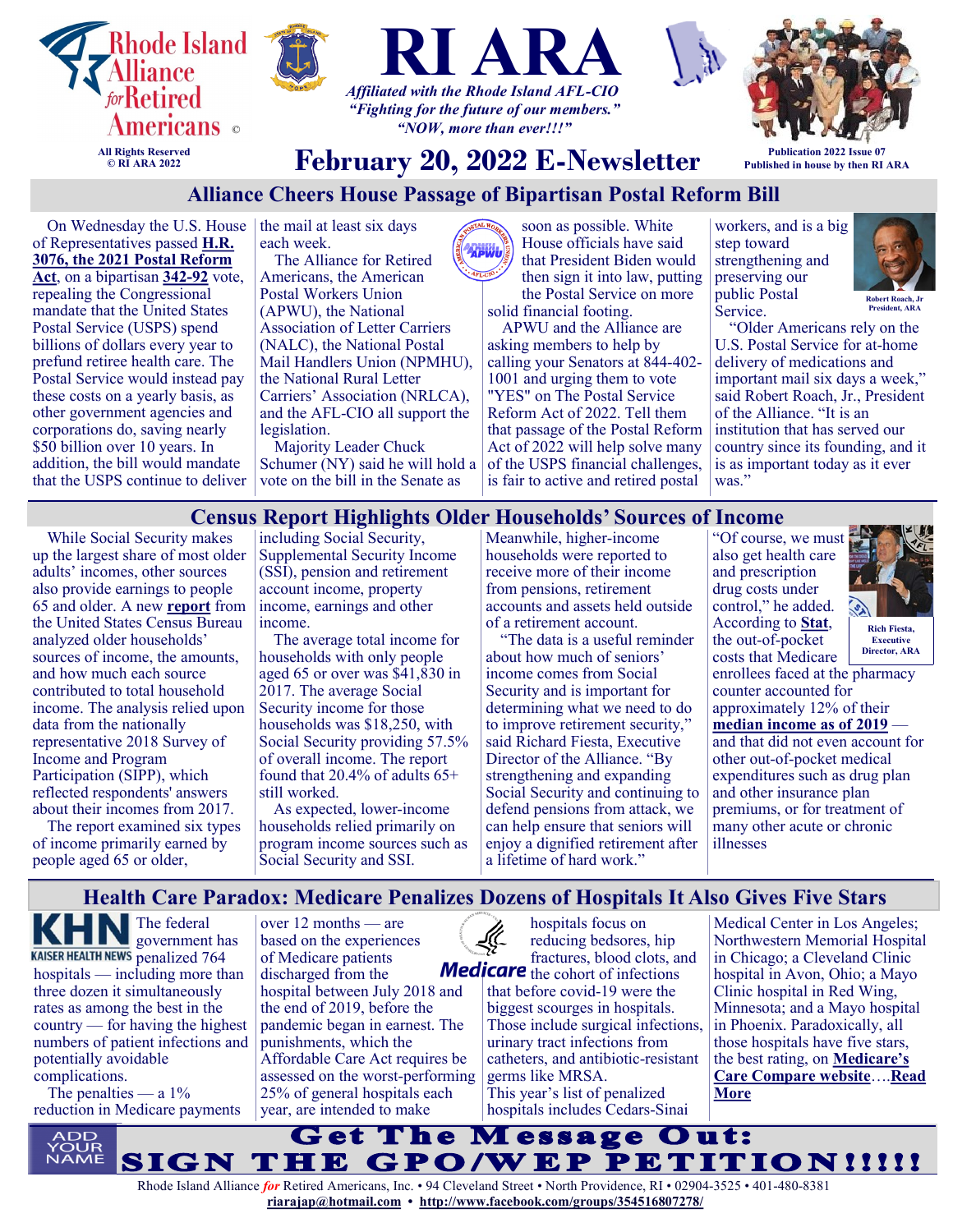

## **Alliance Cheers House Passage of Bipartisan Postal Reform Bill**

On Wednesday the U.S. House  $\vert$  the mail at least six days of Representatives passed **[H.R.](https://www.politico.com/news/2022/02/08/house-passes-bipartisan-postal-reform-bill-00006722)  [3076, the 2021 Postal Reform](https://www.politico.com/news/2022/02/08/house-passes-bipartisan-postal-reform-bill-00006722)  [Act](https://www.politico.com/news/2022/02/08/house-passes-bipartisan-postal-reform-bill-00006722)**, on a bipartisan **[342](https://clerk.house.gov/Votes/202238)-92** vote, repealing the Congressional mandate that the United States Postal Service (USPS) spend billions of dollars every year to prefund retiree health care. The Postal Service would instead pay these costs on a yearly basis, as other government agencies and corporations do, saving nearly \$50 billion over 10 years. In addition, the bill would mandate that the USPS continue to deliver

each week.

The Alliance for Retired Americans, the American Postal Workers Union (APWU), the National Association of Letter Carriers (NALC), the National Postal Mail Handlers Union (NPMHU), the National Rural Letter Carriers' Association (NRLCA), and the AFL-CIO all support the legislation.

Majority Leader Chuck Schumer (NY) said he will hold a vote on the bill in the Senate as

soon as possible. White House officials have said **APWU** that President Biden would then sign it into law, putting the Postal Service on more solid financial footing. APWU and the Alliance are asking members to help by calling your Senators at 844-402- 1001 and urging them to vote "YES" on The Postal Service Reform Act of 2022. Tell them that passage of the Postal Reform Act of 2022 will help solve many of the USPS financial challenges, is fair to active and retired postal

workers, and is a big step toward strengthening and preserving our public Postal Service.



**President, ARA**

"Older Americans rely on the U.S. Postal Service for at-home delivery of medications and important mail six days a week," said Robert Roach, Jr., President of the Alliance. "It is an institution that has served our country since its founding, and it is as important today as it ever was."

## **Census Report Highlights Older Households' Sources of Income**

While Social Security makes up the largest share of most older adults' incomes, other sources also provide earnings to people 65 and older. A new **[report](https://www.census.gov/library/publications/2022/demo/p70br-177.html)** from the United States Census Bureau analyzed older households' sources of income, the amounts, and how much each source contributed to total household income. The analysis relied upon data from the nationally representative 2018 Survey of Income and Program Participation (SIPP), which reflected respondents' answers about their incomes from 2017.

The report examined six types of income primarily earned by people aged 65 or older,

including Social Security, Supplemental Security Income (SSI), pension and retirement account income, property income, earnings and other income.

The average total income for households with only people aged 65 or over was \$41,830 in 2017. The average Social Security income for those households was \$18,250, with Social Security providing 57.5% of overall income. The report found that 20.4% of adults 65+ still worked.

As expected, lower-income households relied primarily on program income sources such as Social Security and SSI.

Meanwhile, higher-income households were reported to receive more of their income from pensions, retirement accounts and assets held outside of a retirement account.

"The data is a useful reminder about how much of seniors' income comes from Social Security and is important for determining what we need to do to improve retirement security," said Richard Fiesta, Executive Director of the Alliance. "By strengthening and expanding Social Security and continuing to defend pensions from attack, we can help ensure that seniors will enjoy a dignified retirement after a lifetime of hard work."

"Of course, we must also get health care and prescription drug costs under control," he added. According to **[Stat](https://www.statnews.com/2022/01/07/out-of-pocket-drug-costs-for-medicare-beneficiaries-need-to-be-reined-in/)**, the out-of-pocket costs that Medicare



enrollees faced at the pharmacy counter accounted for approximately 12% of their [median income as of 2019](https://www.kff.org/report-section/medicare-beneficiaries-financial-security-before-the-coronavirus-pandemic-tables/) and that did not even account for other out-of-pocket medical expenditures such as drug plan and other insurance plan premiums, or for treatment of many other acute or chronic illnesses **Director, ARA**

#### **Health Care Paradox: Medicare Penalizes Dozens of Hospitals It Also Gives Five Stars**

The federal government has KAISER HEALTH NEWS penalized 764 hospitals — including more than three dozen it simultaneously rates as among the best in the country — for having the highest numbers of patient infections and potentially avoidable complications.

The penalties — a  $1\%$ reduction in Medicare payments

over 12 months — are based on the experiences of Medicare patients discharged from the hospital between July 2018 and the end of 2019, before the pandemic began in earnest. The punishments, which the Affordable Care Act requires be assessed on the worst-performing 25% of general hospitals each year, are intended to make

hospitals focus on reducing bedsores, hip fractures, blood clots, and **Medicare** the cohort of infections that before covid-19 were the biggest scourges in hospitals. Those include surgical infections, urinary tract infections from catheters, and antibiotic-resistant germs like MRSA. This year's list of penalized hospitals includes Cedars-Sinai

Medical Center in Los Angeles; Northwestern Memorial Hospital in Chicago; a Cleveland Clinic hospital in Avon, Ohio; a Mayo Clinic hospital in Red Wing, Minnesota; and a Mayo hospital in Phoenix. Paradoxically, all those hospitals have five stars, the best rating, on **[Medicare's](https://www.medicare.gov/care-compare/)  [Care Compare website](https://www.medicare.gov/care-compare/)**….**[Read](https://retiredamericans.org/khn-health-care-paradox-medicare-penalizes-dozens-of-hospitals-it-also-gives-five-stars/)  [More](https://retiredamericans.org/khn-health-care-paradox-medicare-penalizes-dozens-of-hospitals-it-also-gives-five-stars/)**

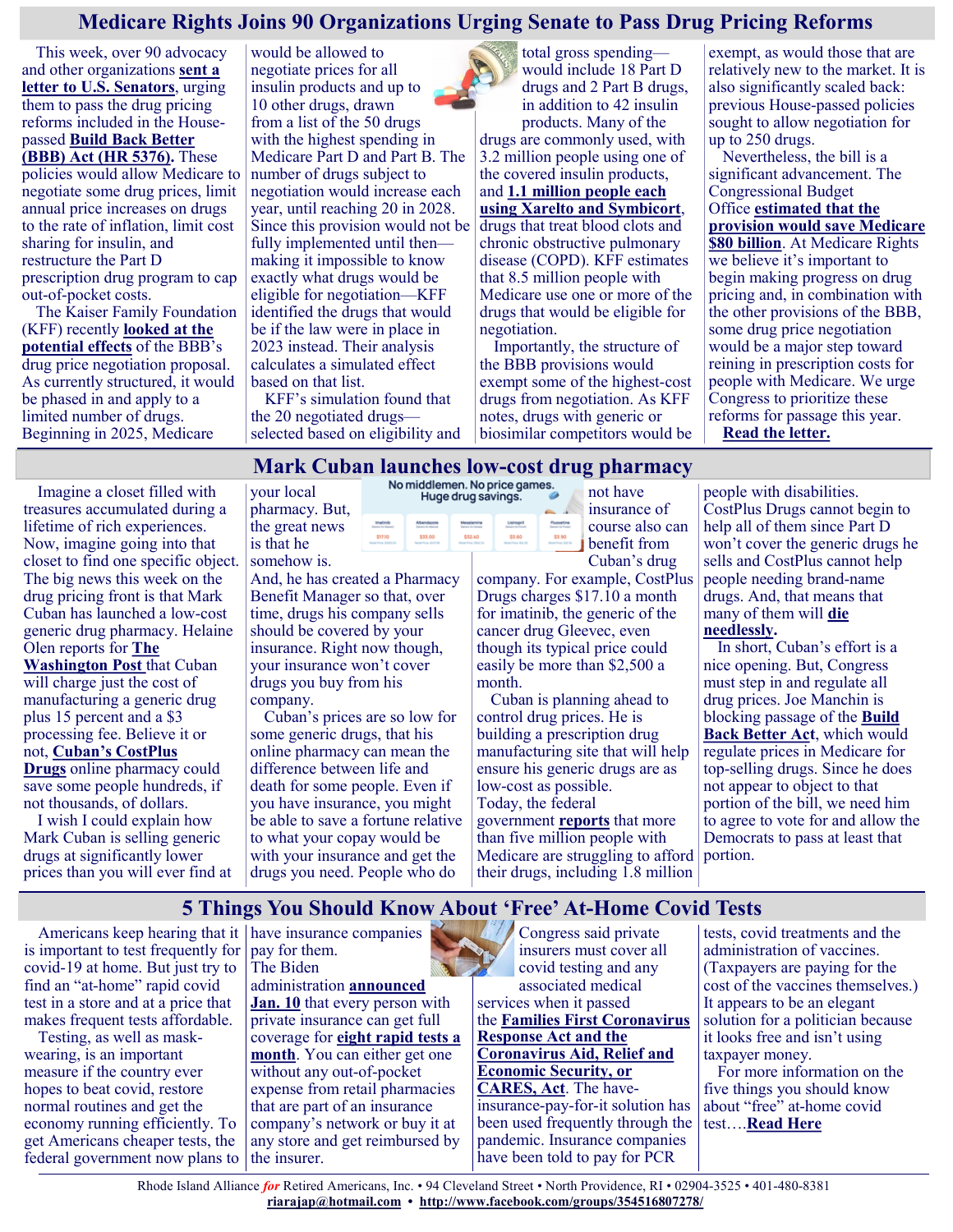## **Medicare Rights Joins 90 Organizations Urging Senate to Pass Drug Pricing Reforms**

This week, over 90 advocacy and other organizations **[sent a](https://www.medicarerights.org/policy-documents/letter-to-senators-urging-drug-pricing-reform)  [letter to U.S. Senators](https://www.medicarerights.org/policy-documents/letter-to-senators-urging-drug-pricing-reform)**, urging them to pass the drug pricing reforms included in the Housepassed **[Build Back Better](https://www.congress.gov/bill/117th-congress/house-bill/5376/text)  [\(BBB\) Act \(HR 5376\).](https://www.congress.gov/bill/117th-congress/house-bill/5376/text)** These policies would allow Medicare to negotiate some drug prices, limit annual price increases on drugs to the rate of inflation, limit cost sharing for insulin, and restructure the Part D

prescription drug program to cap out-of-pocket costs. The Kaiser Family Foundation (KFF) recently **[looked at the](https://www.kff.org/medicare/issue-brief/simulating-the-impact-of-the-drug-price-negotiation-proposal-in-the-build-back-better-act/)  [potential effects](https://www.kff.org/medicare/issue-brief/simulating-the-impact-of-the-drug-price-negotiation-proposal-in-the-build-back-better-act/)** of the BBB's drug price negotiation proposal. As currently structured, it would be phased in and apply to a limited number of drugs.

Beginning in 2025, Medicare

would be allowed to negotiate prices for all insulin products and up to 10 other drugs, drawn from a list of the 50 drugs with the highest spending in Medicare Part D and Part B. The number of drugs subject to negotiation would increase each year, until reaching 20 in 2028. Since this provision would not be fully implemented until then making it impossible to know exactly what drugs would be eligible for negotiation—KFF identified the drugs that would be if the law were in place in 2023 instead. Their analysis calculates a simulated effect based on that list.

KFF's simulation found that the 20 negotiated drugs selected based on eligibility and

total gross spending would include 18 Part D drugs and 2 Part B drugs, in addition to 42 insulin products. Many of the drugs are commonly used, with 3.2 million people using one of the covered insulin products, and **[1.1 million people each](https://www.kff.org/report-section/simulating-the-impact-of-the-drug-price-negotiation-proposal-in-the-build-back-better-act-tables/)  [using Xarelto and Symbicort](https://www.kff.org/report-section/simulating-the-impact-of-the-drug-price-negotiation-proposal-in-the-build-back-better-act-tables/)**, drugs that treat blood clots and chronic obstructive pulmonary disease (COPD). KFF estimates that 8.5 million people with Medicare use one or more of the drugs that would be eligible for negotiation.

Importantly, the structure of the BBB provisions would exempt some of the highest-cost drugs from negotiation. As KFF notes, drugs with generic or biosimilar competitors would be

exempt, as would those that are relatively new to the market. It is also significantly scaled back: previous House-passed policies sought to allow negotiation for up to 250 drugs.

Nevertheless, the bill is a significant advancement. The Congressional Budget Office **[estimated that the](https://www.cbo.gov/publication/57626)  [provision would save Medicare](https://www.cbo.gov/publication/57626)  [\\$80 billion](https://www.cbo.gov/publication/57626)**. At Medicare Rights we believe it's important to begin making progress on drug pricing and, in combination with the other provisions of the BBB, some drug price negotiation would be a major step toward reining in prescription costs for people with Medicare. We urge Congress to prioritize these reforms for passage this year. **[Read the letter.](https://www.medicarerights.org/policy-documents/letter-to-senators-urging-drug-pricing-reform)**

# **Mark Cuban launches low-cost drug pharmacy**

Imagine a closet filled with treasures accumulated during a lifetime of rich experiences. Now, imagine going into that closet to find one specific object. The big news this week on the drug pricing front is that Mark Cuban has launched a low-cost generic drug pharmacy. Helaine Olen reports for **[The](https://www.washingtonpost.com/opinions/2022/02/02/mark-cuban-cost-plus-drug-prices/)  [Washington Post](https://www.washingtonpost.com/opinions/2022/02/02/mark-cuban-cost-plus-drug-prices/)** that Cuban will charge just the cost of manufacturing a generic drug plus 15 percent and a \$3 processing fee. Believe it or not, **[Cuban's CostPlus](https://costplusdrugs.com/)  [Drugs](https://costplusdrugs.com/)** online pharmacy could

save some people hundreds, if not thousands, of dollars. I wish I could explain how

Mark Cuban is selling generic drugs at significantly lower prices than you will ever find at

your local pharmacy. But, the great news is that he somehow is.

And, he has created a Pharmacy Benefit Manager so that, over time, drugs his company sells should be covered by your insurance. Right now though, your insurance won't cover drugs you buy from his company.

Cuban's prices are so low for some generic drugs, that his online pharmacy can mean the difference between life and death for some people. Even if you have insurance, you might be able to save a fortune relative to what your copay would be with your insurance and get the drugs you need. People who do



insurance of course also can benefit from Cuban's drug

company. For example, CostPlus Drugs charges \$17.10 a month for imatinib, the generic of the cancer drug Gleevec, even though its typical price could easily be more than \$2,500 a month.

Cuban is planning ahead to control drug prices. He is building a prescription drug manufacturing site that will help ensure his generic drugs are as low-cost as possible. Today, the federal government **[reports](https://aspe.hhs.gov/sites/default/files/documents/1e2879846aa54939c56efeec9c6f96f0/prescription-drug-affordability.pdf)** that more than five million people with Medicare are struggling to afford their drugs, including 1.8 million

people with disabilities. CostPlus Drugs cannot begin to help all of them since Part D won't cover the generic drugs he sells and CostPlus cannot help people needing brand-name drugs. And, that means that many of them will **[die](https://justcareusa.org/the-deadly-consequences-of-out-of-pocket-drug-costs/)  [needlessly.](https://justcareusa.org/the-deadly-consequences-of-out-of-pocket-drug-costs/)**

#### In short, Cuban's effort is a nice opening. But, Congress must step in and regulate all drug prices. Joe Manchin is blocking passage of the **[Build](https://justcareusa.org/senator-manchin-must-support-lower-drug-prices-in-build-back-better-act/)  [Back Better Act](https://justcareusa.org/senator-manchin-must-support-lower-drug-prices-in-build-back-better-act/)**, which would regulate prices in Medicare for top-selling drugs. Since he does not appear to object to that portion of the bill, we need him to agree to vote for and allow the Democrats to pass at least that portion.

## **5 Things You Should Know About 'Free' At-Home Covid Tests**

Americans keep hearing that it have insurance companies is important to test frequently for covid-19 at home. But just try to find an "at-home" rapid covid test in a store and at a price that makes frequent tests affordable.

Testing, as well as maskwearing, is an important measure if the country ever hopes to beat covid, restore normal routines and get the economy running efficiently. To get Americans cheaper tests, the federal government now plans to

pay for them. The Biden administration **[announced](https://www.hhs.gov/about/news/2022/01/10/biden-harris-administration-requires-insurance-companies-group-health-plans-to-cover-cost-at-home-covid-19-tests-increasing-access-free-tests.html)  [Jan. 10](https://www.hhs.gov/about/news/2022/01/10/biden-harris-administration-requires-insurance-companies-group-health-plans-to-cover-cost-at-home-covid-19-tests-increasing-access-free-tests.html)** that every person with private insurance can get full coverage for **[eight rapid tests a](https://www.cms.gov/how-to-get-your-at-home-OTC-COVID-19-test-for-free)  [month](https://www.cms.gov/how-to-get-your-at-home-OTC-COVID-19-test-for-free)**. You can either get one without any out-of-pocket expense from retail pharmacies that are part of an insurance company's network or buy it at any store and get reimbursed by the insurer.

Congress said private insurers must cover all covid testing and any associated medical services when it passed the **[Families First Coronavirus](https://www.congress.gov/bill/116th-congress/house-bill/6201)  [Response Act](https://www.congress.gov/bill/116th-congress/house-bill/6201) and the [Coronavirus Aid, Relief and](https://www.congress.gov/bill/116th-congress/house-bill/748/text)  [Economic Security, or](https://www.congress.gov/bill/116th-congress/house-bill/748/text)  [CARES, Act](https://www.congress.gov/bill/116th-congress/house-bill/748/text)**. The haveinsurance-pay-for-it solution has been used frequently through the pandemic. Insurance companies have been told to pay for PCR

tests, covid treatments and the administration of vaccines. (Taxpayers are paying for the cost of the vaccines themselves.) It appears to be an elegant solution for a politician because it looks free and isn't using taxpayer money.

For more information on the five things you should know about "free" at-home covid test….**[Read Here](https://khn.org/news/article/5-things-you-should-know-about-free-at-home-covid-tests/)**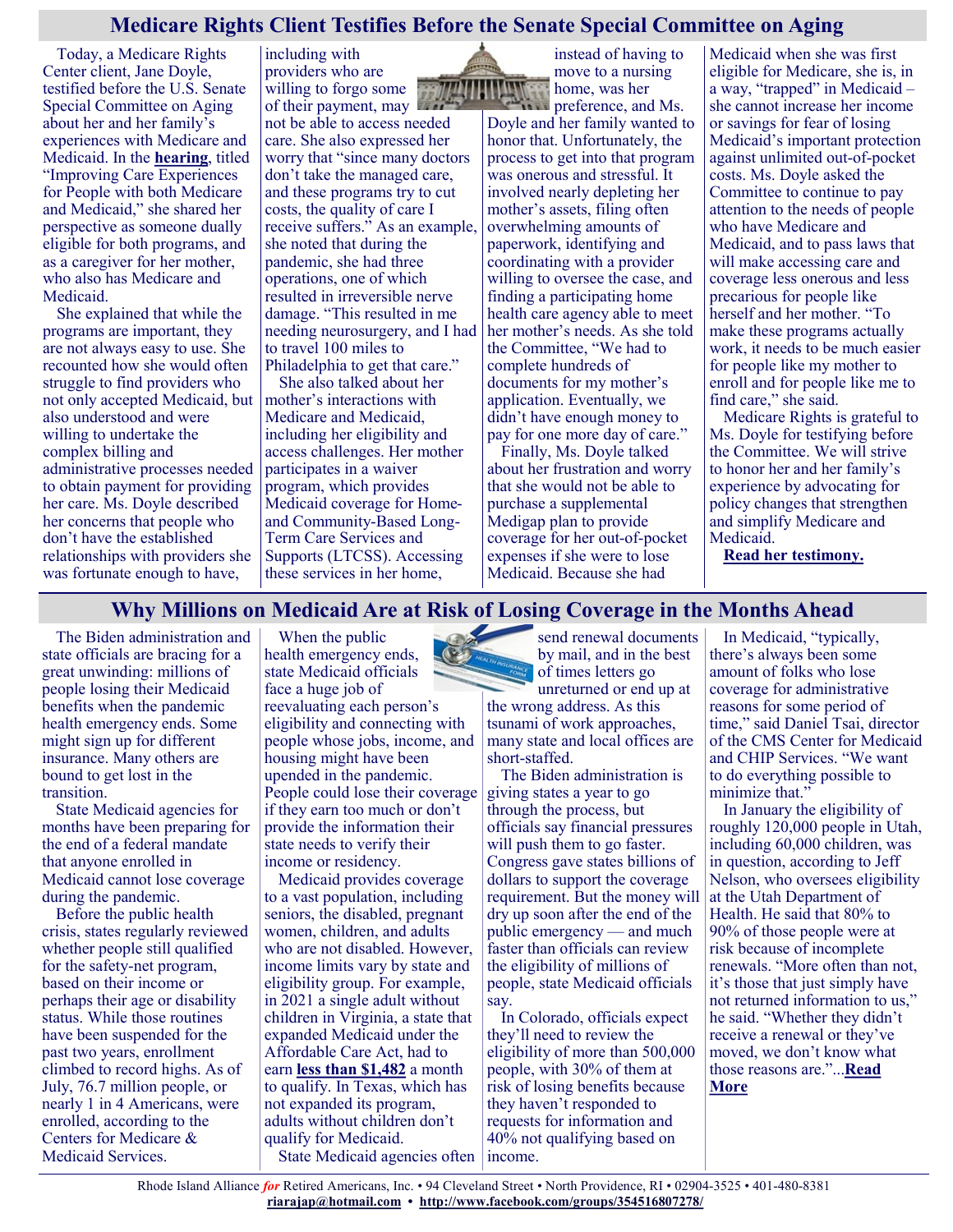## **Medicare Rights Client Testifies Before the Senate Special Committee on Aging**

Today, a Medicare Rights Center client, Jane Doyle, testified before the U.S. Senate Special Committee on Aging about her and her family's experiences with Medicare and Medicaid. In the **[hearing](https://www.aging.senate.gov/hearings/improving-care-experiences-for-people-with-both-medicare-and-medicaid)**, titled "Improving Care Experiences for People with both Medicare and Medicaid," she shared her perspective as someone dually eligible for both programs, and as a caregiver for her mother, who also has Medicare and Medicaid.

She explained that while the programs are important, they are not always easy to use. She recounted how she would often struggle to find providers who not only accepted Medicaid, but also understood and were willing to undertake the complex billing and administrative processes needed to obtain payment for providing her care. Ms. Doyle described her concerns that people who don't have the established relationships with providers she was fortunate enough to have,

including with providers who are willing to forgo some of their payment, may not be able to access needed care. She also expressed her worry that "since many doctors don't take the managed care, and these programs try to cut costs, the quality of care I receive suffers." As an example, she noted that during the pandemic, she had three operations, one of which resulted in irreversible nerve damage. "This resulted in me needing neurosurgery, and I had to travel 100 miles to

Philadelphia to get that care." She also talked about her mother's interactions with Medicare and Medicaid, including her eligibility and access challenges. Her mother participates in a waiver program, which provides Medicaid coverage for Homeand Community-Based Long-Term Care Services and Supports (LTCSS). Accessing these services in her home,

instead of having to move to a nursing home, was her

preference, and Ms. Doyle and her family wanted to honor that. Unfortunately, the process to get into that program was onerous and stressful. It involved nearly depleting her mother's assets, filing often overwhelming amounts of paperwork, identifying and coordinating with a provider willing to oversee the case, and finding a participating home health care agency able to meet her mother's needs. As she told the Committee, "We had to complete hundreds of documents for my mother's application. Eventually, we didn't have enough money to pay for one more day of care."

Finally, Ms. Doyle talked about her frustration and worry that she would not be able to purchase a supplemental Medigap plan to provide coverage for her out-of-pocket expenses if she were to lose Medicaid. Because she had

Medicaid when she was first eligible for Medicare, she is, in a way, "trapped" in Medicaid – she cannot increase her income or savings for fear of losing Medicaid's important protection against unlimited out-of-pocket costs. Ms. Doyle asked the Committee to continue to pay attention to the needs of people who have Medicare and Medicaid, and to pass laws that will make accessing care and coverage less onerous and less precarious for people like herself and her mother. "To make these programs actually work, it needs to be much easier for people like my mother to enroll and for people like me to find care," she said.

Medicare Rights is grateful to Ms. Doyle for testifying before the Committee. We will strive to honor her and her family's experience by advocating for policy changes that strengthen and simplify Medicare and Medicaid.

**[Read her testimony.](https://www.aging.senate.gov/imo/media/doc/Testimony_Doyle%2002.10.223.pdf)**

## **Why Millions on Medicaid Are at Risk of Losing Coverage in the Months Ahead**

The Biden administration and state officials are bracing for a great unwinding: millions of people losing their Medicaid benefits when the pandemic health emergency ends. Some might sign up for different insurance. Many others are bound to get lost in the transition.

State Medicaid agencies for months have been preparing for the end of a federal mandate that anyone enrolled in Medicaid cannot lose coverage during the pandemic.

Before the public health crisis, states regularly reviewed whether people still qualified for the safety-net program, based on their income or perhaps their age or disability status. While those routines have been suspended for the past two years, enrollment climbed to record highs. As of July, 76.7 million people, or nearly 1 in 4 Americans, were enrolled, according to the Centers for Medicare & Medicaid Services.

When the public health emergency ends, state Medicaid officials face a huge job of reevaluating each person's eligibility and connecting with people whose jobs, income, and housing might have been upended in the pandemic. People could lose their coverage if they earn too much or don't provide the information their state needs to verify their income or residency.

Medicaid provides coverage to a vast population, including seniors, the disabled, pregnant women, children, and adults who are not disabled. However, income limits vary by state and eligibility group. For example, in 2021 a single adult without children in Virginia, a state that expanded Medicaid under the Affordable Care Act, had to earn **[less than \\$1,482](https://www.coverva.org/en/our-programs)** a month to qualify. In Texas, which has not expanded its program, adults without children don't qualify for Medicaid. State Medicaid agencies often income.



the wrong address. As this tsunami of work approaches, many state and local offices are short-staffed.

The Biden administration is giving states a year to go through the process, but officials say financial pressures will push them to go faster. Congress gave states billions of dollars to support the coverage requirement. But the money will dry up soon after the end of the public emergency — and much faster than officials can review the eligibility of millions of people, state Medicaid officials say.

In Colorado, officials expect they'll need to review the eligibility of more than 500,000 people, with 30% of them at risk of losing benefits because they haven't responded to requests for information and 40% not qualifying based on

In Medicaid, "typically, there's always been some amount of folks who lose coverage for administrative reasons for some period of time," said Daniel Tsai, director of the CMS Center for Medicaid and CHIP Services. "We want to do everything possible to minimize that."

In January the eligibility of roughly 120,000 people in Utah, including 60,000 children, was in question, according to Jeff Nelson, who oversees eligibility at the Utah Department of Health. He said that 80% to 90% of those people were at risk because of incomplete renewals. "More often than not, it's those that just simply have not returned information to us," he said. "Whether they didn't receive a renewal or they've moved, we don't know what those reasons are."...**[Read](https://khn.org/news/article/why-millions-on-medicaid-are-at-risk-of-losing-coverage-in-the-months-ahead/)  [More](https://khn.org/news/article/why-millions-on-medicaid-are-at-risk-of-losing-coverage-in-the-months-ahead/)**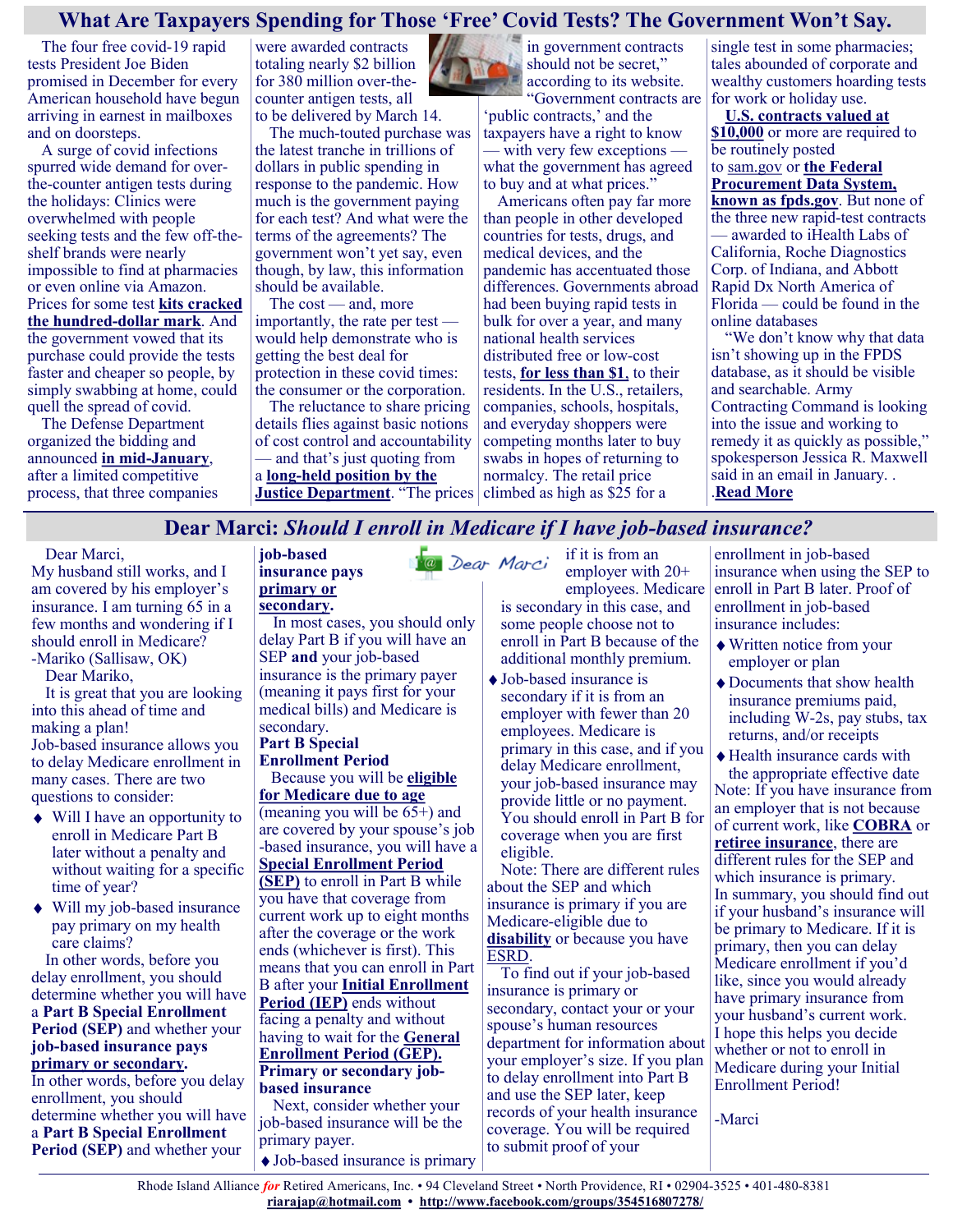## **What Are Taxpayers Spending for Those 'Free' Covid Tests? The Government Won't Say.**

The four free covid-19 rapid tests President Joe Biden promised in December for every American household have begun arriving in earnest in mailboxes and on doorsteps.

A surge of covid infections spurred wide demand for overthe-counter antigen tests during the holidays: Clinics were overwhelmed with people seeking tests and the few off-theshelf brands were nearly impossible to find at pharmacies or even online via Amazon. Prices for some test **[kits cracked](https://www.theguardian.com/world/2022/jan/07/covid-rapid-test-price-gouging-omicron)  [the hundred](https://www.theguardian.com/world/2022/jan/07/covid-rapid-test-price-gouging-omicron)-dollar mark**. And the government vowed that its purchase could provide the tests faster and cheaper so people, by simply swabbing at home, could quell the spread of covid.

The Defense Department organized the bidding and announced **in mid-[January](https://www.defense.gov/News/Releases/Release/Article/2899818/dod-awards-contracts-to-purchase-covid-19-antigen-over-the-counter-test-kits-in/)**, after a limited competitive process, that three companies

were awarded contracts totaling nearly \$2 billion for 380 million over-thecounter antigen tests, all to be delivered by March 14.

The much-touted purchase was the latest tranche in trillions of dollars in public spending in response to the pandemic. How much is the government paying for each test? And what were the terms of the agreements? The government won't yet say, even though, by law, this information should be available.

The cost — and, more importantly, the rate per test would help demonstrate who is getting the best deal for protection in these covid times: the consumer or the corporation.

The reluctance to share pricing details flies against basic notions of cost control and accountability — and that's just quoting from

a **long-[held position by the](https://www.justice.gov/oip/blog/foia-update-disclosure-prices)  [Justice Department](https://www.justice.gov/oip/blog/foia-update-disclosure-prices)**. "The prices in government contracts should not be secret," according to its website. "Government contracts are

'public contracts,' and the taxpayers have a right to know — with very few exceptions what the government has agreed to buy and at what prices."

Americans often pay far more than people in other developed countries for tests, drugs, and medical devices, and the pandemic has accentuated those differences. Governments abroad had been buying rapid tests in bulk for over a year, and many national health services distributed free or low-cost tests, **[for less than \\$1](https://khn.org/news/article/home-rapid-covid-tests-cost-biden-push-to-lower-prices/)**, to their residents. In the U.S., retailers, companies, schools, hospitals, and everyday shoppers were competing months later to buy swabs in hopes of returning to normalcy. The retail price climbed as high as \$25 for a

single test in some pharmacies; tales abounded of corporate and wealthy customers hoarding tests for work or holiday use.

**[U.S. contracts valued at](https://sam.gov/content/contract-data)  [\\$10,000](https://sam.gov/content/contract-data)** or more are required to be routinely posted to [sam.gov](https://sam.gov/content/contract-data) or **[the Federal](https://www.fpds.gov/fpdsng_cms/index.php/en/)  [Procurement Data System,](https://www.fpds.gov/fpdsng_cms/index.php/en/)  [known as fpds.gov](https://www.fpds.gov/fpdsng_cms/index.php/en/)**. But none of the three new rapid-test contracts — awarded to iHealth Labs of California, Roche Diagnostics Corp. of Indiana, and Abbott Rapid Dx North America of Florida — could be found in the online databases

"We don't know why that data isn't showing up in the FPDS database, as it should be visible and searchable. Army Contracting Command is looking into the issue and working to remedy it as quickly as possible," spokesperson Jessica R. Maxwell said in an email in January. . .**[Read More](https://khn.org/news/article/what-are-taxpayers-spending-for-those-free-covid-tests-the-government-wont-say/)**

## **Dear Marci:** *Should I enroll in Medicare if I have job-based insurance?*

#### Dear Marci,

My husband still works, and I am covered by his employer's insurance. I am turning 65 in a few months and wondering if I should enroll in Medicare? -Mariko (Sallisaw, OK)

Dear Mariko,

It is great that you are looking into this ahead of time and making a plan! Job-based insurance allows you to delay Medicare enrollment in many cases. There are two questions to consider:

- Will I have an opportunity to enroll in Medicare Part B later without a penalty and without waiting for a specific time of year?
- Will my job-based insurance pay primary on my health care claims?

In other words, before you delay enrollment, you should determine whether you will have a **Part B Special Enrollment Period (SEP)** and whether your **job-based insurance pays [primary or secondary.](https://medicarerights.us15.list-manage.com/track/click?u=1621f54a596f3717c22815356&id=b3b3aedd6a&e=88d22ba1fe)** In other words, before you delay enrollment, you should determine whether you will have a **Part B Special Enrollment** 

**Period (SEP)** and whether your

#### **job-based insurance pays [primary or](https://medicarerights.us15.list-manage.com/track/click?u=1621f54a596f3717c22815356&id=b3b3aedd6a&e=88d22ba1fe)**

**[secondary.](https://medicarerights.us15.list-manage.com/track/click?u=1621f54a596f3717c22815356&id=b3b3aedd6a&e=88d22ba1fe)** In most cases, you should only delay Part B if you will have an SEP **and** your job-based insurance is the primary payer (meaning it pays first for your medical bills) and Medicare is secondary.

## **Part B Special**

**Enrollment Period** Because you will be **[eligible](https://medicarerights.us15.list-manage.com/track/click?u=1621f54a596f3717c22815356&id=f8ff95b824&e=88d22ba1fe)  [for Medicare due to age](https://medicarerights.us15.list-manage.com/track/click?u=1621f54a596f3717c22815356&id=f8ff95b824&e=88d22ba1fe)** (meaning you will be 65+) and are covered by your spouse's job -based insurance, you will have a **[Special Enrollment Period](https://medicarerights.us15.list-manage.com/track/click?u=1621f54a596f3717c22815356&id=df1cc8eebf&e=88d22ba1fe)  [\(SEP\)](https://medicarerights.us15.list-manage.com/track/click?u=1621f54a596f3717c22815356&id=df1cc8eebf&e=88d22ba1fe)** to enroll in Part B while you have that coverage from current work up to eight months

after the coverage or the work ends (whichever is first). This means that you can enroll in Part B after your **[Initial Enrollment](https://medicarerights.us15.list-manage.com/track/click?u=1621f54a596f3717c22815356&id=6a4e35838b&e=88d22ba1fe)  [Period \(IEP\)](https://medicarerights.us15.list-manage.com/track/click?u=1621f54a596f3717c22815356&id=6a4e35838b&e=88d22ba1fe)** ends without facing a penalty and without having to wait for the **[General](https://medicarerights.us15.list-manage.com/track/click?u=1621f54a596f3717c22815356&id=9012ea0480&e=88d22ba1fe)  [Enrollment Period \(GEP\).](https://medicarerights.us15.list-manage.com/track/click?u=1621f54a596f3717c22815356&id=9012ea0480&e=88d22ba1fe) Primary or secondary jobbased insurance**

Next, consider whether your job-based insurance will be the primary payer.

Job-based insurance is primary

if it is from an @ Dear Marci employer with 20+ employees. Medicare

is secondary in this case, and some people choose not to enroll in Part B because of the additional monthly premium.

Job-based insurance is secondary if it is from an employer with fewer than 20 employees. Medicare is primary in this case, and if you delay Medicare enrollment, your job-based insurance may provide little or no payment. You should enroll in Part B for coverage when you are first eligible.

Note: There are different rules about the SEP and which insurance is primary if you are Medicare-eligible due to **[disability](https://medicarerights.us15.list-manage.com/track/click?u=1621f54a596f3717c22815356&id=545ce1e1b4&e=88d22ba1fe)** or because you have [ESRD.](https://medicarerights.us15.list-manage.com/track/click?u=1621f54a596f3717c22815356&id=4eb71ffa8e&e=88d22ba1fe)

To find out if your job-based insurance is primary or secondary, contact your or your spouse's human resources department for information about your employer's size. If you plan to delay enrollment into Part B and use the SEP later, keep records of your health insurance coverage. You will be required to submit proof of your

enrollment in job-based insurance when using the SEP to enroll in Part B later. Proof of enrollment in job-based insurance includes:

- Written notice from your employer or plan
- Documents that show health insurance premiums paid, including W-2s, pay stubs, tax returns, and/or receipts

Health insurance cards with the appropriate effective date

Note: If you have insurance from an employer that is not because of current work, like **[COBRA](https://medicarerights.us15.list-manage.com/track/click?u=1621f54a596f3717c22815356&id=8d5b12e060&e=88d22ba1fe)** or **[retiree insurance](https://medicarerights.us15.list-manage.com/track/click?u=1621f54a596f3717c22815356&id=cf372f8f0e&e=88d22ba1fe)**, there are different rules for the SEP and which insurance is primary. In summary, you should find out if your husband's insurance will be primary to Medicare. If it is primary, then you can delay Medicare enrollment if you'd like, since you would already have primary insurance from your husband's current work. I hope this helps you decide whether or not to enroll in Medicare during your Initial Enrollment Period!

-Marci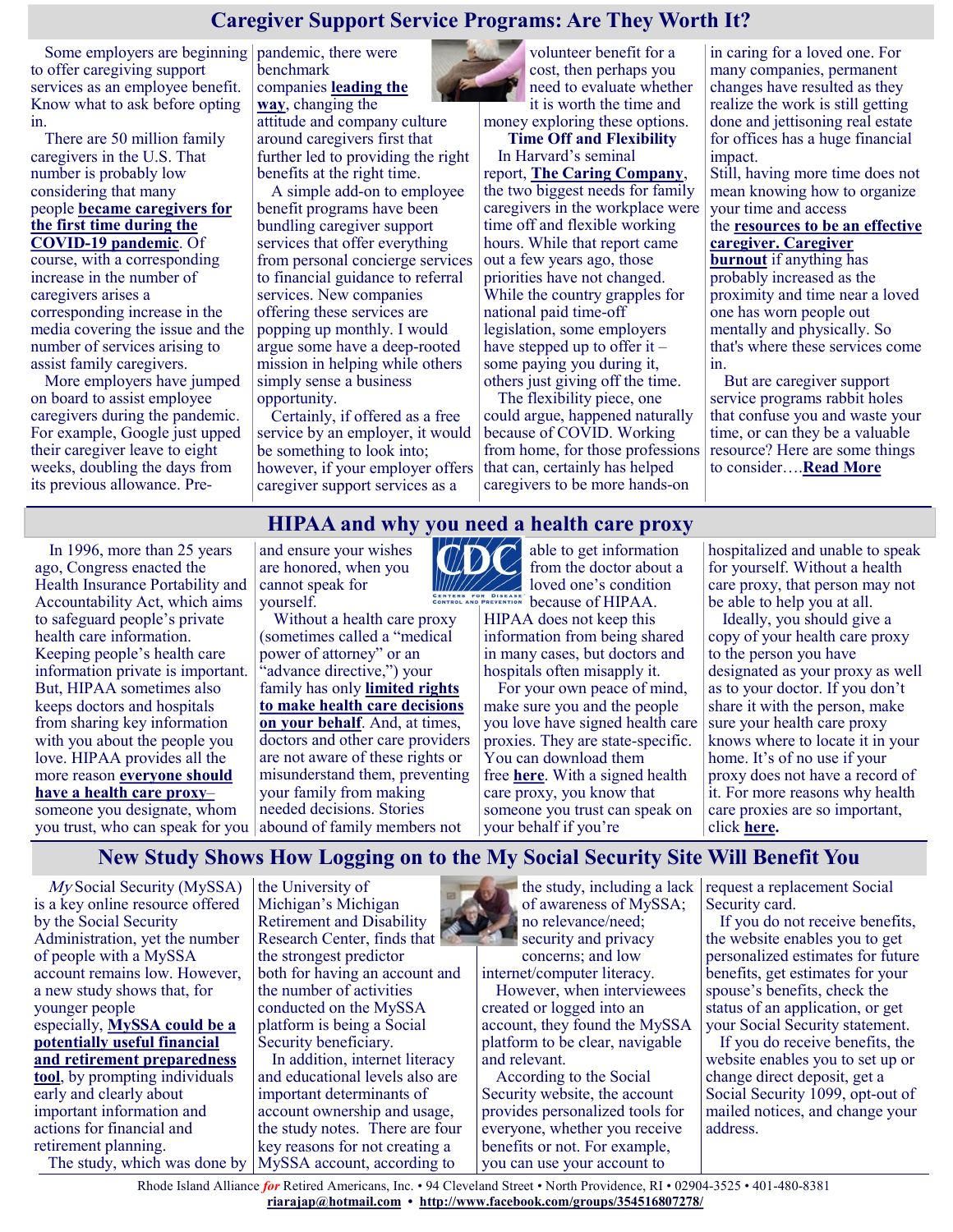## **Caregiver Support Service Programs: Are They Worth It?**

Some employers are beginning pandemic, there were to offer caregiving support services as an employee benefit. Know what to ask before opting in.

There are 50 million family caregivers in the U.S. That number is probably low considering that many people **[became caregivers for](https://health.usnews.com/health-care/for-better/articles/family-caregiving-during-coronavirus)  [the first time during the](https://health.usnews.com/health-care/for-better/articles/family-caregiving-during-coronavirus)  COVID-[19 pandemic](https://health.usnews.com/health-care/for-better/articles/family-caregiving-during-coronavirus)**. Of

course, with a corresponding increase in the number of caregivers arises a corresponding increase in the media covering the issue and the number of services arising to assist family caregivers.

More employers have jumped on board to assist employee caregivers during the pandemic. For example, Google just upped their caregiver leave to eight weeks, doubling the days from its previous allowance. Prebenchmark companies **[leading the](https://www.wearesharingthesun.com/wp-content/uploads/2019/03/AARP-ReAct-MASTER-web.pdf)  [way](https://www.wearesharingthesun.com/wp-content/uploads/2019/03/AARP-ReAct-MASTER-web.pdf)**, changing the attitude and company culture around caregivers first that further led to providing the right

benefits at the right time. A simple add-on to employee benefit programs have been bundling caregiver support services that offer everything from personal concierge services to financial guidance to referral services. New companies offering these services are popping up monthly. I would argue some have a deep-rooted mission in helping while others simply sense a business opportunity.

Certainly, if offered as a free service by an employer, it would be something to look into; however, if your employer offers caregiver support services as a

volunteer benefit for a cost, then perhaps you need to evaluate whether it is worth the time and

money exploring these options. **Time Off and Flexibility**

In Harvard's seminal report, **[The Caring Company](https://www.hbs.edu/ris/Publication%20Files/The_Caring_Company_08e19f30-66d9-4eb4-83d7-c7b56934ed48.pdf)**, the two biggest needs for family caregivers in the workplace were time off and flexible working hours. While that report came out a few years ago, those priorities have not changed. While the country grapples for national paid time-off legislation, some employers have stepped up to offer it  $$ some paying you during it, others just giving off the time.

The flexibility piece, one could argue, happened naturally because of COVID. Working from home, for those professions that can, certainly has helped caregivers to be more hands-on

in caring for a loved one. For many companies, permanent changes have resulted as they realize the work is still getting done and jettisoning real estate for offices has a huge financial impact.

Still, having more time does not mean knowing how to organize your time and access

the **[resources to be an effective](https://health.usnews.com/health-care/for-better/articles/curated-caregiver-resources)  [caregiver.](https://health.usnews.com/health-care/for-better/articles/curated-caregiver-resources) [Caregiver](https://health.usnews.com/health-care/for-better/articles/compassion-fatigue-the-hidden-cost-of-caregiving)** 

**[burnout](https://health.usnews.com/health-care/for-better/articles/compassion-fatigue-the-hidden-cost-of-caregiving)** if anything has probably increased as the proximity and time near a loved one has worn people out mentally and physically. So that's where these services come in.

But are caregiver support service programs rabbit holes that confuse you and waste your time, or can they be a valuable resource? Here are some things to consider….**[Read More](https://health.usnews.com/health-care/for-better/articles/caregiver-support-service-programs-are-they-worth-it)**

## **HIPAA and why you need a health care proxy**

In 1996, more than 25 years ago, Congress enacted the Health Insurance Portability and Accountability Act, which aims to safeguard people's private health care information. Keeping people's health care information private is important. But, HIPAA sometimes also keeps doctors and hospitals from sharing key information with you about the people you love. HIPAA provides all the more reason **[everyone should](https://justcareusa.org/for-your-peace-of-mind-and-for-your-family-plan-in-advance-for-your-care/)  [have a health care proxy](https://justcareusa.org/for-your-peace-of-mind-and-for-your-family-plan-in-advance-for-your-care/)**– someone you designate, whom

and ensure your wishes are honored, when you cannot speak for yourself.

you trust, who can speak for you abound of family members not Without a health care proxy (sometimes called a "medical power of attorney" or an "advance directive,") your family has only **[limited rights](https://justcareusa.org/making-medical-decisions-for-someone-you-love-your-rights/)  [to make health care decisions](https://justcareusa.org/making-medical-decisions-for-someone-you-love-your-rights/)  [on your behalf](https://justcareusa.org/making-medical-decisions-for-someone-you-love-your-rights/)**. And, at times, doctors and other care providers are not aware of these rights or misunderstand them, preventing your family from making needed decisions. Stories



able to get information from the doctor about a loved one's condition BECAUSE OF CONTRACT DECAUSE OF HIPAA.

HIPAA does not keep this information from being shared in many cases, but doctors and hospitals often misapply it.

For your own peace of mind, make sure you and the people you love have signed health care proxies. They are state-specific. You can download them free **[here](http://www.caringinfo.org/i4a/pages/index.cfm?pageid=3289)**. With a signed health care proxy, you know that someone you trust can speak on your behalf if you're

hospitalized and unable to speak for yourself. Without a health care proxy, that person may not be able to help you at all.

Ideally, you should give a copy of your health care proxy to the person you have designated as your proxy as well as to your doctor. If you don't share it with the person, make sure your health care proxy knows where to locate it in your home. It's of no use if your proxy does not have a record of it. For more reasons why health care proxies are so important, click **[here.](https://justcareusa.org/six-reasons-why-you-and-your-loved-ones-should-create-advance-directives/)**

## **New Study Shows How Logging on to the My Social Security Site Will Benefit You**

My Social Security (MySSA) is a key online resource offered by the Social Security Administration, yet the number of people with a MySSA account remains low. However, a new study shows that, for younger people especially, **[MySSA could be a](https://www.gobankingrates.com/retirement/social-security/how-to-print-your-benefit-verification-letter-from-social-security/?utm_campaign=1155918&utm_source=msn.com&utm_content=1&utm_medium=rss)  [potentially useful financial](https://www.gobankingrates.com/retirement/social-security/how-to-print-your-benefit-verification-letter-from-social-security/?utm_campaign=1155918&utm_source=msn.com&utm_content=1&utm_medium=rss)  [and retirement preparedness](https://www.gobankingrates.com/retirement/social-security/how-to-print-your-benefit-verification-letter-from-social-security/?utm_campaign=1155918&utm_source=msn.com&utm_content=1&utm_medium=rss)  [tool](https://www.gobankingrates.com/retirement/social-security/how-to-print-your-benefit-verification-letter-from-social-security/?utm_campaign=1155918&utm_source=msn.com&utm_content=1&utm_medium=rss)**, by prompting individuals early and clearly about important information and actions for financial and retirement planning.

the University of Michigan's Michigan Retirement and Disability Research Center, finds that the strongest predictor both for having an account and the number of activities conducted on the MySSA platform is being a Social Security beneficiary.

The study, which was done by MySSA account, according to In addition, internet literacy and educational levels also are important determinants of account ownership and usage, the study notes. There are four key reasons for not creating a

 $\bullet$  the study, including a lack of awareness of MySSA; no relevance/need; security and privacy concerns; and low

internet/computer literacy. However, when interviewees created or logged into an account, they found the MySSA platform to be clear, navigable and relevant.

According to the Social Security website, the account provides personalized tools for everyone, whether you receive benefits or not. For example, you can use your account to

request a replacement Social Security card.

If you do not receive benefits, the website enables you to get personalized estimates for future benefits, get estimates for your spouse's benefits, check the status of an application, or get your Social Security statement.

If you do receive benefits, the website enables you to set up or change direct deposit, get a Social Security 1099, opt-out of mailed notices, and change your address.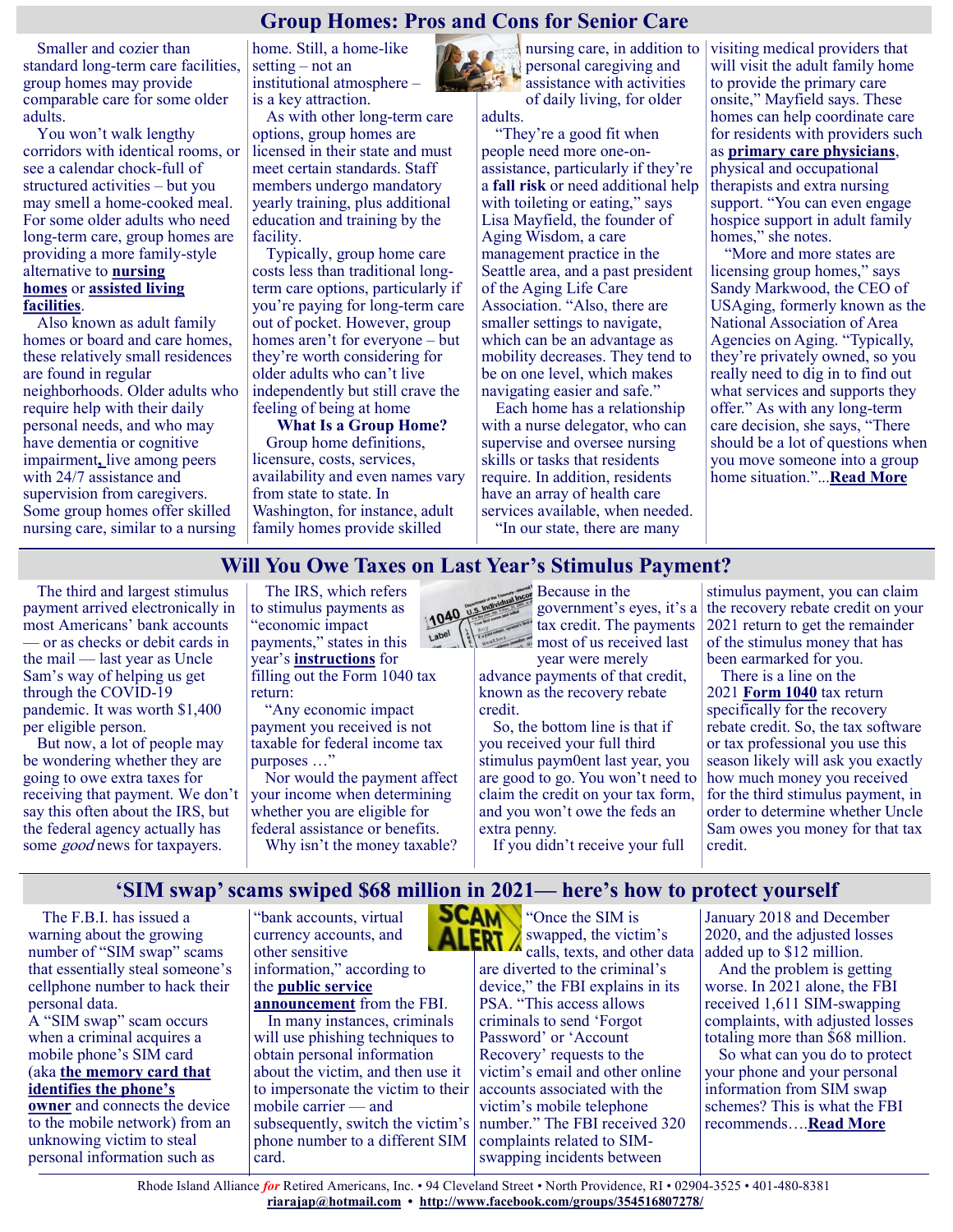## **Group Homes: Pros and Cons for Senior Care**

Smaller and cozier than standard long-term care facilities, group homes may provide comparable care for some older adults.

You won't walk lengthy corridors with identical rooms, or see a calendar chock-full of structured activities – but you may smell a home-cooked meal. For some older adults who need long-term care, group homes are providing a more family-style alternative to **[nursing](https://health.usnews.com/best-nursing-homes)** 

#### **[homes](https://health.usnews.com/best-nursing-homes)** or **[assisted living](https://health.usnews.com/best-assisted-living/articles/what-is-assisted-living)  [facilities](https://health.usnews.com/best-assisted-living/articles/what-is-assisted-living)**.

Also known as adult family homes or board and care homes, these relatively small residences are found in regular neighborhoods. Older adults who require help with their daily personal needs, and who may have [dementia](https://health.usnews.com/conditions/brain-disease/dementia) or cognitive impairment**,** live among peers with 24/7 assistance and supervision from caregivers. Some group homes offer skilled nursing care, similar to a nursing

home. Still, a home-like setting – not an institutional atmosphere – is a key attraction.

As with other long-term care options, group homes are licensed in their state and must meet certain standards. Staff members undergo mandatory yearly training, plus additional education and training by the facility.

Typically, group home care costs less than traditional longterm care options, particularly if you're paying for long-term care out of pocket. However, group homes aren't for everyone – but they're worth considering for older adults who can't live independently but still crave the feeling of being at home

#### **What Is a Group Home?**

Group home definitions, licensure, costs, services, availability and even names vary from state to state. In Washington, for instance, adult family homes provide skilled

nursing care, in addition to personal caregiving and assistance with activities of daily living, for older

adults.

"They're a good fit when people need more one-onassistance, particularly if they're a **[fall risk](https://health.usnews.com/wellness/slideshows/best-exercises-for-preventing-falls-in-older-adults)** or need additional help with toileting or eating," says Lisa Mayfield, the founder of Aging Wisdom, a care management practice in the Seattle area, and a past president of the Aging Life Care Association. "Also, there are smaller settings to navigate, which can be an advantage as mobility decreases. They tend to be on one level, which makes navigating easier and safe."

Each home has a relationship with a nurse delegator, who can supervise and oversee nursing skills or tasks that residents require. In addition, residents have an array of health care services available, when needed. "In our state, there are many

visiting medical providers that will visit the adult family home to provide the primary care onsite," Mayfield says. These homes can help coordinate care for residents with providers such as **[primary care physicians](https://health.usnews.com/health-care/top-doctors/articles/types-of-primary-care-doctors)**, physical and occupational therapists and extra nursing support. "You can even engage hospice support in adult family homes," she notes.

"More and more states are licensing group homes," says Sandy Markwood, the CEO of USAging, formerly known as the National Association of Area Agencies on Aging. "Typically, they're privately owned, so you really need to dig in to find out what services and supports they offer." As with any long-term care decision, she says, "There should be a lot of questions when you move someone into a group home situation."...**[Read More](https://health.usnews.com/senior-care/caregiving/articles/group-homes)**

## **Will You Owe Taxes on Last Year's Stimulus Payment?**

1040 usin

The third and largest stimulus payment arrived electronically in most Americans' bank accounts — or as checks or debit cards in the mail — last year as Uncle Sam's way of helping us get through the COVID-19 pandemic. It was worth \$1,400 per eligible person.

But now, a lot of people may be wondering whether they are going to owe extra taxes for receiving that payment. We don't say this often about the IRS, but the federal agency actually has some good news for taxpayers.

The IRS, which refers to stimulus payments as "economic impact payments," states in this year's **[instructions](https://www.irs.gov/pub/irs-pdf/i1040gi.pdf)** for filling out the Form 1040 tax return:

"Any economic impact payment you received is not taxable for federal income tax purposes …"

Nor would the payment affect your income when determining whether you are eligible for federal assistance or benefits.

Why isn't the money taxable?



advance payments of that credit, known as the recovery rebate credit.

So, the bottom line is that if you received your full third stimulus paym0ent last year, you are good to go. You won't need to claim the credit on your tax form, and you won't owe the feds an extra penny.

stimulus payment, you can claim the recovery rebate credit on your 2021 return to get the remainder of the stimulus money that has been earmarked for you.

There is a line on the 2021 **[Form 1040](https://www.irs.gov/pub/irs-prior/f1040--2021.pdf)** tax return specifically for the recovery rebate credit. So, the tax software or tax professional you use this season likely will ask you exactly how much money you received for the third stimulus payment, in order to determine whether Uncle Sam owes you money for that tax credit.

If you didn't receive your full

## **'SIM swap' scams swiped \$68 million in 2021— here's how to protect yourself**

The F.B.I. has issued a warning about the growing number of "SIM swap" scams that essentially steal someone's cellphone number to hack their personal data.

A "SIM swap" scam occurs when a criminal acquires a mobile phone's SIM card (aka **[the memory card that](https://www.lifewire.com/what-are-sim-cards-577532)  [identifies the phone's](https://www.lifewire.com/what-are-sim-cards-577532)** 

**[owner](https://www.lifewire.com/what-are-sim-cards-577532)** and connects the device to the mobile network) from an unknowing victim to steal personal information such as

"bank accounts, virtual currency accounts, and other sensitive information," according to the **[public service](https://www.ic3.gov/Media/Y2022/PSA220208)** 

**[announcement](https://www.ic3.gov/Media/Y2022/PSA220208)** from the FBI. In many instances, criminals will use phishing techniques to obtain personal information about the victim, and then use it to impersonate the victim to their mobile carrier — and subsequently, switch the victim's phone number to a different SIM card.



swapped, the victim's calls, texts, and other data added up to \$12 million. are diverted to the criminal's device," the FBI explains in its PSA. "This access allows criminals to send 'Forgot Password' or 'Account Recovery' requests to the victim's email and other online accounts associated with the victim's mobile telephone number." The FBI received 320 complaints related to SIMswapping incidents between

January 2018 and December 2020, and the adjusted losses

And the problem is getting worse. In 2021 alone, the FBI received 1,611 SIM-swapping complaints, with adjusted losses totaling more than \$68 million.

So what can you do to protect your phone and your personal information from SIM swap schemes? This is what the FBI recommends….**[Read More](https://www.msn.com/en-us/money/other/sim-swap-scams-swiped-dollar68-million-in-2021%e2%80%94-heres-how-to-protect-yourself/ar-AATTw6e?ocid=SK2DDHP&li=BBnb7Kz)**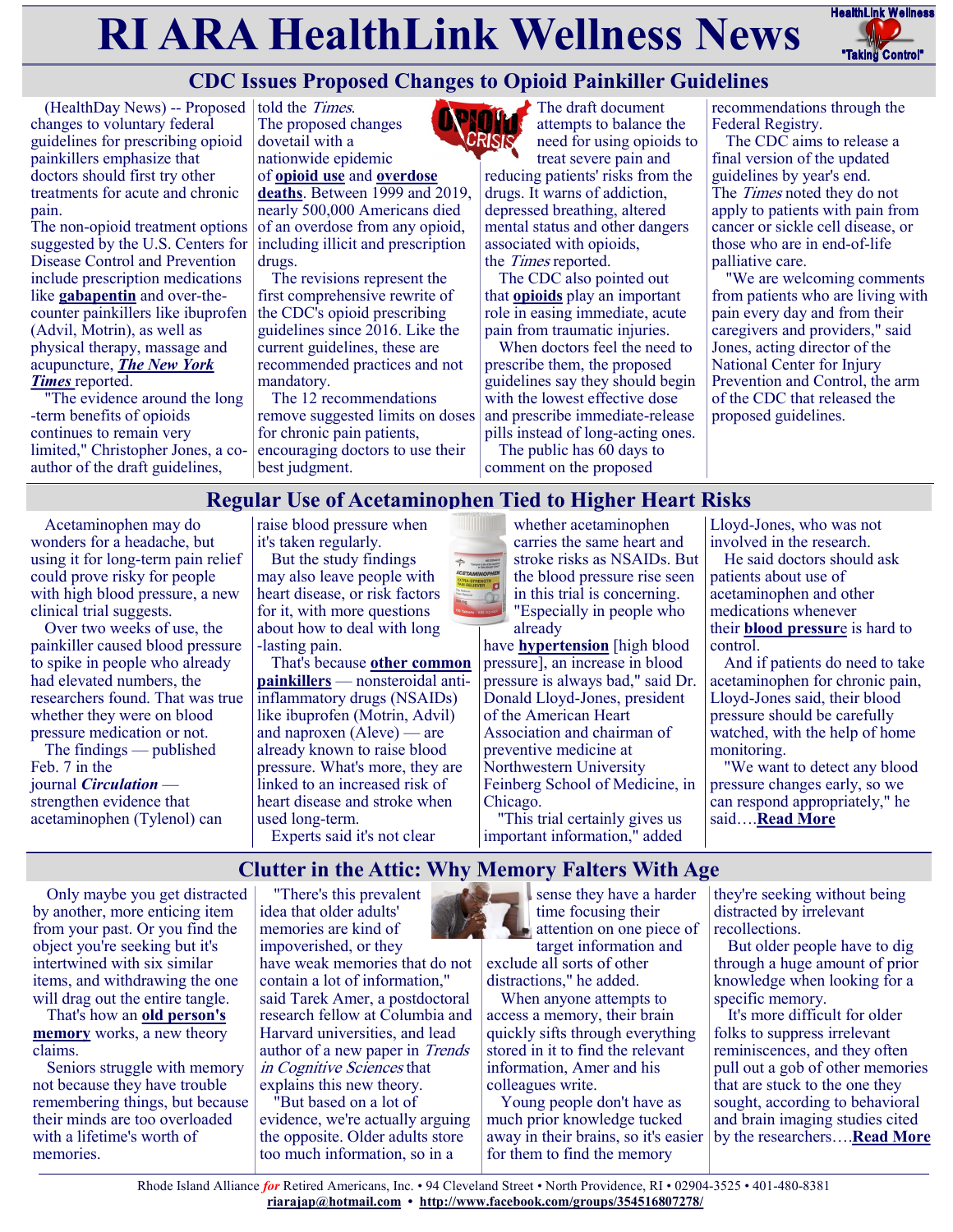# **RI ARA HealthLink Wellness News** HealthLink Wellness



# **CDC Issues Proposed Changes to Opioid Painkiller Guidelines**

(HealthDay News) -- Proposed told the *Times*. changes to voluntary federal guidelines for prescribing opioid painkillers emphasize that doctors should first try other treatments for acute and chronic pain.

The non-opioid treatment options suggested by the U.S. Centers for Disease Control and Prevention include prescription medications like **[gabapentin](https://medlineplus.gov/druginfo/meds/a694007.html)** and over-thecounter painkillers like ibuprofen (Advil, Motrin), as well as physical therapy, massage and acupuncture, *[The New York](https://www.nytimes.com/2022/02/10/health/cdc-opioid-pain-guidelines.html)  [Times](https://www.nytimes.com/2022/02/10/health/cdc-opioid-pain-guidelines.html)* reported.

"The evidence around the long -term benefits of opioids continues to remain very limited," Christopher Jones, a coauthor of the draft guidelines,

The proposed changes dovetail with a nationwide epidemic of **[opioid use](https://www.cdc.gov/opioids/basics/epidemic.html)** and **[overdose](https://www.cdc.gov/nchs/pressroom/nchs_press_releases/2021/20211117.htm)  [deaths](https://www.cdc.gov/nchs/pressroom/nchs_press_releases/2021/20211117.htm)**. Between 1999 and 2019,

nearly 500,000 Americans died of an overdose from any opioid, including illicit and prescription drugs.

The revisions represent the first comprehensive rewrite of the CDC's opioid prescribing guidelines since 2016. Like the current guidelines, these are recommended practices and not mandatory.

The 12 recommendations remove suggested limits on doses for chronic pain patients, encouraging doctors to use their best judgment.



The draft document attempts to balance the need for using opioids to

treat severe pain and reducing patients' risks from the drugs. It warns of addiction, depressed breathing, altered mental status and other dangers associated with opioids, the Times reported.

The CDC also pointed out that **[opioids](https://nida.nih.gov/drug-topics/opioids)** play an important role in easing immediate, acute pain from traumatic injuries.

When doctors feel the need to prescribe them, the proposed guidelines say they should begin with the lowest effective dose and prescribe immediate-release pills instead of long-acting ones.

The public has 60 days to comment on the proposed

recommendations through the Federal Registry.

The CDC aims to release a final version of the updated guidelines by year's end. The *Times* noted they do not apply to patients with pain from cancer or sickle cell disease, or those who are in end-of-life palliative care.

"We are welcoming comments from patients who are living with pain every day and from their caregivers and providers," said Jones, acting director of the National Center for Injury Prevention and Control, the arm of the CDC that released the proposed guidelines.

## **Regular Use of Acetaminophen Tied to Higher Heart Risks**

Acetaminophen may do wonders for a headache, but using it for long-term pain relief could prove risky for people with high blood pressure, a new clinical trial suggests.

Over two weeks of use, the painkiller caused blood pressure to spike in people who already had elevated numbers, the researchers found. That was true whether they were on blood pressure medication or not.

The findings — published Feb. 7 in the journal *[Circulation](https://www.ahajournals.org/doi/10.1161/CIRCULATIONAHA.121.056015)* strengthen evidence that acetaminophen (Tylenol) can raise blood pressure when it's taken regularly.

But the study findings may also leave people with heart disease, or risk factors for it, with more questions about how to deal with long -lasting pain.

That's because **[other common](https://medlineplus.gov/ency/article/000155.htm)  [painkillers](https://medlineplus.gov/ency/article/000155.htm)** — nonsteroidal antiinflammatory drugs (NSAIDs) like ibuprofen (Motrin, Advil) and naproxen (Aleve) — are already known to raise blood pressure. What's more, they are linked to an increased risk of heart disease and stroke when used long-term. Experts said it's not clear



have **[hypertension](https://www.heart.org/en/health-topics/high-blood-pressure?gclid=Cj0KCQiAr5iQBhCsARIsAPcwROPp2T3eT_QYoTmqFLaW2Hperb0ngdX5VMHj7sflNf8fYTBI712rT4saAnPjEALw_wcB)** [high blood pressure], an increase in blood pressure is always bad," said Dr. Donald Lloyd-Jones, president of the American Heart Association and chairman of preventive medicine at Northwestern University Feinberg School of Medicine, in Chicago.

"This trial certainly gives us important information," added

Lloyd-Jones, who was not involved in the research.

He said doctors should ask patients about use of acetaminophen and other medications whenever their **[blood pressur](https://www.mayoclinic.org/diseases-conditions/high-blood-pressure/in-depth/blood-pressure/art-20045245)**e is hard to control.

And if patients do need to take acetaminophen for chronic pain, Lloyd-Jones said, their blood pressure should be carefully watched, with the help of home monitoring.

"We want to detect any blood pressure changes early, so we can respond appropriately," he said….**[Read More](https://consumer.healthday.com/2-10-regular-use-of-acetaminophen-tied-to-higher-heart-risks-2656585533.html)**

**Clutter in the Attic: Why Memory Falters With Age**

Only maybe you get distracted by another, more enticing item from your past. Or you find the object you're seeking but it's intertwined with six similar items, and withdrawing the one will drag out the entire tangle.

That's how an **[old person's](https://www.apa.org/pi/aging/memory-and-aging.pdf)  [memory](https://www.apa.org/pi/aging/memory-and-aging.pdf)** works, a new theory claims.

Seniors struggle with memory not because they have trouble remembering things, but because their minds are too overloaded with a lifetime's worth of memories.

"There's this prevalent idea that older adults' memories are kind of impoverished, or they have weak memories that do not contain a lot of information," said Tarek Amer, a postdoctoral research fellow at Columbia and Harvard universities, and lead author of a new paper in Trends in Cognitive Sciences that explains this new theory.

"But based on a lot of evidence, we're actually arguing the opposite. Older adults store too much information, so in a



distractions," he added.

When anyone attempts to access a memory, their brain quickly sifts through everything stored in it to find the relevant information, Amer and his colleagues write.

Young people don't have as much prior knowledge tucked away in their brains, so it's easier for them to find the memory

they're seeking without being distracted by irrelevant recollections.

But older people have to dig through a huge amount of prior knowledge when looking for a specific memory.

It's more difficult for older folks to suppress irrelevant reminiscences, and they often pull out a gob of other memories that are stuck to the one they sought, according to behavioral and brain imaging studies cited by the researchers….**[Read More](https://consumer.healthday.com/2-14-clutter-in-the-attic-why-memory-falters-with-age-2656546122.html)**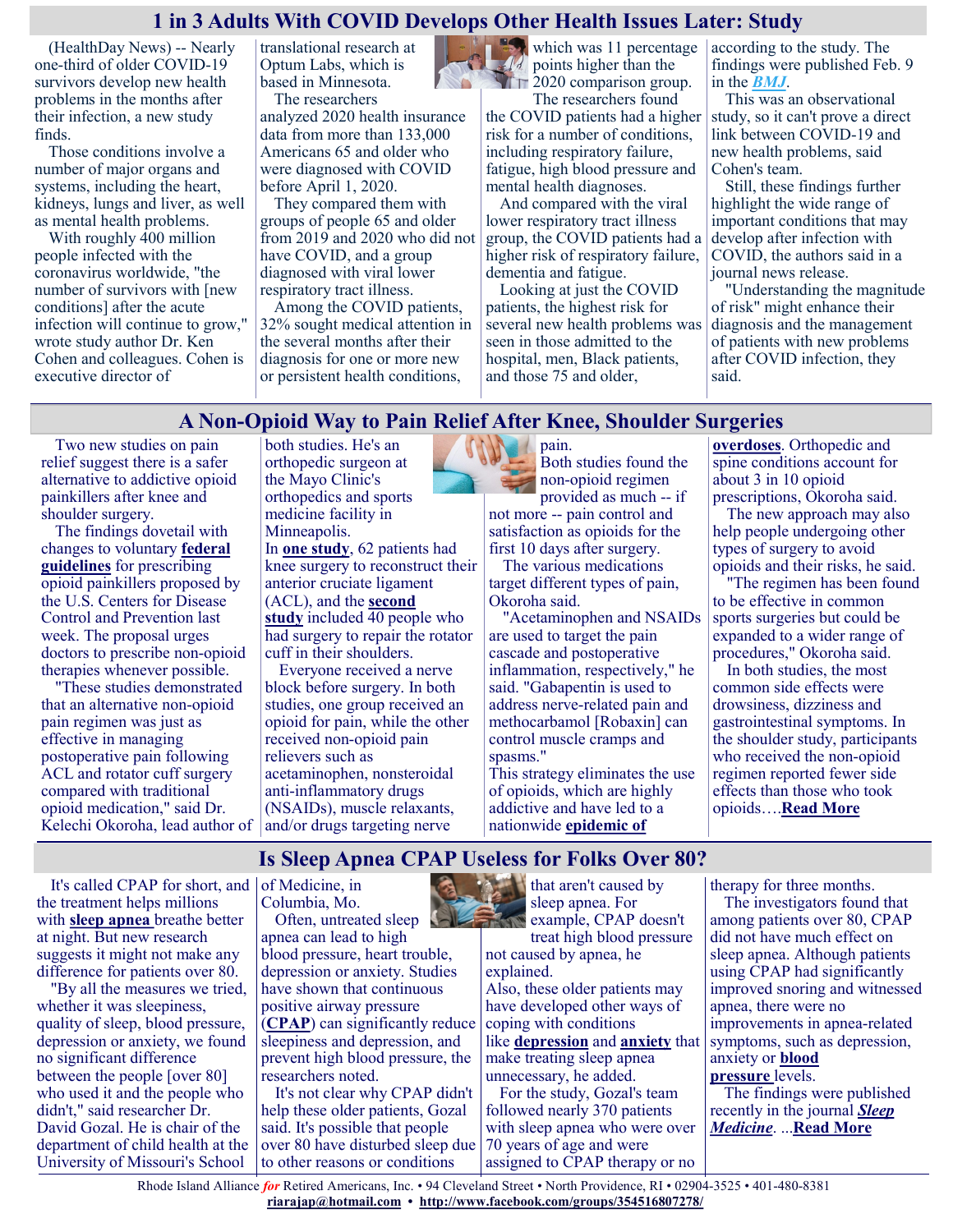#### **1 in 3 Adults With COVID Develops Other Health Issues Later: Study**

(HealthDay News) -- Nearly one-third of older COVID-19 survivors develop new health problems in the months after their infection, a new study finds.

Those conditions involve a number of major organs and systems, including the heart, kidneys, lungs and liver, as well as mental health problems.

With roughly 400 million people infected with the coronavirus worldwide, "the number of survivors with [new conditions] after the acute infection will continue to grow," wrote study author Dr. Ken Cohen and colleagues. Cohen is executive director of

translational research at Optum Labs, which is based in Minnesota. The researchers

analyzed 2020 health insurance data from more than 133,000 Americans 65 and older who were diagnosed with COVID before April 1, 2020.

They compared them with groups of people 65 and older from 2019 and 2020 who did not have COVID, and a group diagnosed with viral lower respiratory tract illness.

Among the COVID patients, 32% sought medical attention in the several months after their diagnosis for one or more new or persistent health conditions,

points higher than the  $\square$  2020 comparison group.

The researchers found the COVID patients had a higher risk for a number of conditions, including respiratory failure, fatigue, high blood pressure and mental health diagnoses.

And compared with the viral lower respiratory tract illness group, the COVID patients had a higher risk of respiratory failure, dementia and fatigue.

Looking at just the COVID patients, the highest risk for several new health problems was seen in those admitted to the hospital, men, Black patients, and those 75 and older,

which was 11 percentage according to the study. The findings were published Feb. 9 in the *[BMJ](https://www.bmj.com/content/376/bmj-2021-068414)*.

This was an observational study, so it can't prove a direct link between COVID-19 and new health problems, said Cohen's team.

Still, these findings further highlight the wide range of important conditions that may develop after infection with COVID, the authors said in a journal news release.

"Understanding the magnitude of risk" might enhance their diagnosis and the management of patients with new problems after COVID infection, they said.

## **A Non-Opioid Way to Pain Relief After Knee, Shoulder Surgeries**

Two new studies on pain relief suggest there is a safer alternative to addictive opioid painkillers after knee and shoulder surgery.

The findings dovetail with changes to voluntary **[federal](https://consumer.healthday.com/cdc-issues-proposed-changes-to-opioid-painkiller-guidelines-2656624435.html)  [guidelines](https://consumer.healthday.com/cdc-issues-proposed-changes-to-opioid-painkiller-guidelines-2656624435.html)** for prescribing opioid painkillers proposed by the U.S. Centers for Disease Control and Prevention last week. The proposal urges doctors to prescribe non-opioid therapies whenever possible.

"These studies demonstrated that an alternative non-opioid pain regimen was just as effective in managing postoperative pain following ACL and rotator cuff surgery compared with traditional opioid medication," said Dr. Kelechi Okoroha, lead author of

both studies. He's an orthopedic surgeon at the Mayo Clinic's orthopedics and sports medicine facility in Minneapolis.

In **[one study](https://journals.sagepub.com/doi/full/10.1177/03635465211045394)**, 62 patients had knee surgery to reconstruct their anterior cruciate ligament (ACL), and the **[second](https://www.arthroscopyjournal.org/article/S0749-8063(21)01046-X/fulltext)  [study](https://www.arthroscopyjournal.org/article/S0749-8063(21)01046-X/fulltext)** included 40 people who had surgery to repair the rotator cuff in their shoulders.

Everyone received a nerve block before surgery. In both studies, one group received an opioid for pain, while the other received non-opioid pain relievers such as acetaminophen, nonsteroidal anti-inflammatory drugs (NSAIDs), muscle relaxants, and/or drugs targeting nerve



pain. Both studies found the non-opioid regimen provided as much -- if not more -- pain control and satisfaction as opioids for the first 10 days after surgery.

The various medications target different types of pain, Okoroha said.

"Acetaminophen and NSAIDs are used to target the pain cascade and postoperative inflammation, respectively," he said. "Gabapentin is used to address nerve-related pain and methocarbamol [Robaxin] can control muscle cramps and spasms."

This strategy eliminates the use of opioids, which are highly [addictive](https://medlineplus.gov/genetics/condition/opioid-addiction/) and have led to a nationwide **[epidemic of](https://www.cdc.gov/drugoverdose/epidemic/index.html)** 

**[overdoses](https://www.cdc.gov/drugoverdose/epidemic/index.html)**. Orthopedic and spine conditions account for about 3 in 10 opioid prescriptions, Okoroha said.

The new approach may also help people undergoing other types of surgery to avoid opioids and their risks, he said.

"The regimen has been found to be effective in common sports surgeries but could be expanded to a wider range of procedures," Okoroha said.

In both studies, the most common side effects were drowsiness, dizziness and gastrointestinal symptoms. In the shoulder study, participants who received the non-opioid regimen reported fewer side effects than those who took opioids….**[Read More](https://consumer.healthday.com/2-14-a-non-opioid-way-to-pain-relief-after-knee-shoulder-surgeries-2656596884.html)**

## **Is Sleep Apnea CPAP Useless for Folks Over 80?**

It's called CPAP for short, and  $\vert$  of Medicine, in the treatment helps millions with **[sleep apnea](https://medlineplus.gov/sleepapnea.html)** breathe better at night. But new research suggests it might not make any difference for patients over 80.

"By all the measures we tried, whether it was sleepiness, quality of sleep, blood pressure, depression or anxiety, we found no significant difference between the people [over 80] who used it and the people who didn't," said researcher Dr. David Gozal. He is chair of the department of child health at the University of Missouri's School

Columbia, Mo. Often, untreated sleep apnea can lead to high blood pressure, heart trouble, depression or anxiety. Studies

have shown that continuous positive airway pressure (**[CPAP](https://www.uofmhealth.org/health-library/hw48752)**) can significantly reduce sleepiness and depression, and prevent high blood pressure, the researchers noted.

It's not clear why CPAP didn't help these older patients, Gozal said. It's possible that people over 80 have disturbed sleep due to other reasons or conditions

that aren't caused by sleep apnea. For

example, CPAP doesn't treat high blood pressure not caused by apnea, he explained. Also, these older patients may have developed other ways of coping with conditions like **[depression](https://www.nimh.nih.gov/health/topics/depression)** and **[anxiety](https://www.nimh.nih.gov/health/topics/anxiety-disorders)** that make treating sleep apnea unnecessary, he added. For the study, Gozal's team

followed nearly 370 patients with sleep apnea who were over 70 years of age and were assigned to CPAP therapy or no

therapy for three months.

The investigators found that among patients over 80, CPAP did not have much effect on sleep apnea. Although patients using CPAP had significantly improved snoring and witnessed apnea, there were no improvements in apnea-related symptoms, such as depression, anxiety or **[blood](https://www.heart.org/en/health-topics/high-blood-pressure)  [pressure](https://www.heart.org/en/health-topics/high-blood-pressure)** levels.

The findings were published recently in the journal *[Sleep](https://www.sciencedirect.com/science/article/abs/pii/S138994572100558X?via%3Dihub)  [Medicine](https://www.sciencedirect.com/science/article/abs/pii/S138994572100558X?via%3Dihub)*. ...**[Read More](https://consumer.healthday.com/2-15-is-sleep-apnea-cpap-useless-for-folks-over-80-2656608575.html)**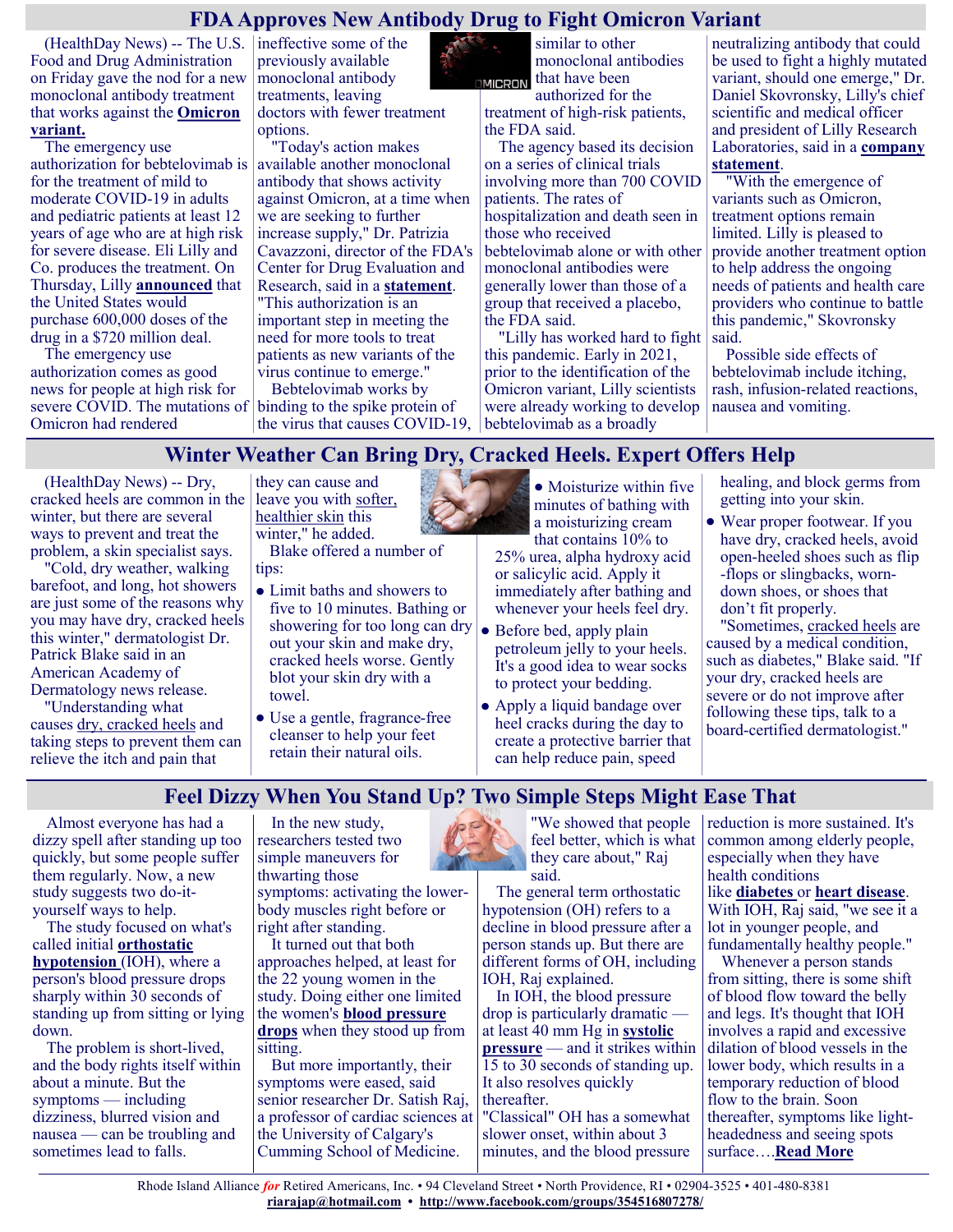## **FDA Approves New Antibody Drug to Fight Omicron Variant**

(HealthDay News) -- The U.S. ineffective some of the Food and Drug Administration on Friday gave the nod for a new monoclonal antibody treatment that works against the **[Omicron](https://www.cdc.gov/coronavirus/2019-ncov/variants/omicron-variant.html)  [variant.](https://www.cdc.gov/coronavirus/2019-ncov/variants/omicron-variant.html)**

The emergency use authorization for bebtelovimab is for the treatment of mild to moderate COVID-19 in adults and pediatric patients at least 12 years of age who are at high risk for severe disease. Eli Lilly and Co. produces the treatment. On Thursday, Lilly **[announced](https://consumer.healthday.com/antibody-treatment-for-covid-2656632118.html)** that the United States would purchase 600,000 doses of the drug in a \$720 million deal.

The emergency use authorization comes as good news for people at high risk for severe COVID. The mutations of Omicron had rendered

previously available monoclonal antibody treatments, leaving doctors with fewer treatment options.

"Today's action makes available another monoclonal antibody that shows activity against Omicron, at a time when we are seeking to further increase supply," Dr. Patrizia Cavazzoni, director of the FDA's Center for Drug Evaluation and Research, said in a **[statement](https://www.fda.gov/news-events/press-announcements/coronavirus-covid-19-update-fda-authorizes-new-monoclonal-antibody-treatment-covid-19-retains)**. "This authorization is an important step in meeting the need for more tools to treat patients as new variants of the virus continue to emerge."

Bebtelovimab works by binding to the spike protein of the virus that causes COVID-19,

similar to other monoclonal antibodies that have been **MICRON** authorized for the

treatment of high-risk patients, the FDA said.

The agency based its decision on a series of clinical trials involving more than 700 COVID patients. The rates of hospitalization and death seen in those who received bebtelovimab alone or with other monoclonal antibodies were generally lower than those of a group that received a placebo, the FDA said.

"Lilly has worked hard to fight this pandemic. Early in 2021, prior to the identification of the Omicron variant, Lilly scientists were already working to develop bebtelovimab as a broadly

neutralizing antibody that could be used to fight a highly mutated variant, should one emerge," Dr. Daniel Skovronsky, Lilly's chief scientific and medical officer and president of Lilly Research Laboratories, said in a **[company](https://investor.lilly.com/news-releases/news-release-details/lillys-bebtelovimab-receives-emergency-use-authorization)  [statement](https://investor.lilly.com/news-releases/news-release-details/lillys-bebtelovimab-receives-emergency-use-authorization)**.

"With the emergence of variants such as Omicron, treatment options remain limited. Lilly is pleased to provide another treatment option to help address the ongoing needs of patients and health care providers who continue to battle this pandemic," Skovronsky said.

Possible side effects of bebtelovimab include itching, rash, infusion-related reactions, nausea and vomiting.

## **Winter Weather Can Bring Dry, Cracked Heels. Expert Offers Help**

(HealthDay News) -- Dry, cracked heels are common in the winter, but there are several ways to prevent and treat the problem, a skin specialist says.

"Cold, dry weather, walking barefoot, and long, hot showers are just some of the reasons why you may have dry, cracked heels this winter," dermatologist Dr. Patrick Blake said in an American Academy of Dermatology news release.

"Understanding what causes [dry, cracked heels](https://newsnetwork.mayoclinic.org/discussion/mayo-clinic-q-and-a-take-steps-at-home-to-manage-dry-cracked-heels/) and taking steps to prevent them can relieve the itch and pain that

they can cause and leave you with [softer,](https://www.health.harvard.edu/womens-health/what-to-do-about-dry-skin-in-winter)  [healthier skin](https://www.health.harvard.edu/womens-health/what-to-do-about-dry-skin-in-winter) this winter," he added.

Blake offered a number of tips:

- Limit baths and showers to five to 10 minutes. Bathing or showering for too long can dry  $\bullet$  Before bed, apply plain out your skin and make dry, cracked heels worse. Gently blot your skin dry with a towel.
- Use a gentle, fragrance-free cleanser to help your feet retain their natural oils.

• Moisturize within five minutes of bathing with a moisturizing cream that contains 10% to

25% urea, alpha hydroxy acid or salicylic acid. Apply it immediately after bathing and whenever your heels feel dry.

- petroleum jelly to your heels. It's a good idea to wear socks to protect your bedding.
- Apply a liquid bandage over heel cracks during the day to create a protective barrier that can help reduce pain, speed

healing, and block germs from getting into your skin.

Wear proper footwear. If you have dry, cracked heels, avoid open-heeled shoes such as flip -flops or slingbacks, worndown shoes, or shoes that don't fit properly.

"Sometimes, [cracked heels](https://www.washingtonpost.com/wellness/2022/01/19/treat-dry-cracked-feet-heels/) are caused by a medical condition, such as diabetes," Blake said. "If your dry, cracked heels are severe or do not improve after following these tips, talk to a board-certified dermatologist."

## **Feel Dizzy When You Stand Up? Two Simple Steps Might Ease That**

Almost everyone has had a dizzy spell after standing up too quickly, but some people suffer them regularly. Now, a new study suggests two do-ityourself ways to help.

The study focused on what's called initial **[orthostatic](https://medlineplus.gov/genetics/condition/orthostatic-hypotension/)  [hypotension](https://medlineplus.gov/genetics/condition/orthostatic-hypotension/)** (IOH), where a person's blood pressure drops sharply within 30 seconds of standing up from sitting or lying down.

The problem is short-lived, and the body rights itself within about a minute. But the symptoms — including dizziness, blurred vision and nausea — can be troubling and sometimes lead to falls.

In the new study, researchers tested two simple maneuvers for thwarting those symptoms: activating the lowerbody muscles right before or right after standing.

It turned out that both approaches helped, at least for the 22 young women in the study. Doing either one limited the women's **[blood pressure](https://www.heart.org/en/health-topics/high-blood-pressure/the-facts-about-high-blood-pressure/low-blood-pressure-when-blood-pressure-is-too-low)  [drops](https://www.heart.org/en/health-topics/high-blood-pressure/the-facts-about-high-blood-pressure/low-blood-pressure-when-blood-pressure-is-too-low)** when they stood up from sitting.

But more importantly, their symptoms were eased, said senior researcher Dr. Satish Raj, a professor of cardiac sciences at the University of Calgary's Cumming School of Medicine.



"We showed that people feel better, which is what they care about," Raj said.

The general term orthostatic hypotension (OH) refers to a decline in blood pressure after a person stands up. But there are different forms of OH, including IOH, Raj explained.

In IOH, the blood pressure drop is particularly dramatic at least 40 mm Hg in **[systolic](https://www.heart.org/en/health-topics/high-blood-pressure/understanding-blood-pressure-readings)  [pressure](https://www.heart.org/en/health-topics/high-blood-pressure/understanding-blood-pressure-readings)** — and it strikes within 15 to 30 seconds of standing up. It also resolves quickly thereafter. "Classical" OH has a somewhat

slower onset, within about 3 minutes, and the blood pressure reduction is more sustained. It's common among elderly people, especially when they have health conditions like **[diabetes](https://www.cdc.gov/diabetes/basics/diabetes.html)** or **[heart disease](https://www.cdc.gov/heartdisease/index.htm#:~:text=Heart%20disease%20is%20the%20leading,can%20lead%20to%20heart%20attack.)**. With IOH, Raj said, "we see it a lot in younger people, and fundamentally healthy people." Whenever a person stands

from sitting, there is some shift of blood flow toward the belly and legs. It's thought that IOH involves a rapid and excessive dilation of blood vessels in the lower body, which results in a temporary reduction of blood flow to the brain. Soon thereafter, symptoms like lightheadedness and seeing spots surface….**[Read More](https://consumer.healthday.com/orthostatic-hypotension-2656586378.html)**